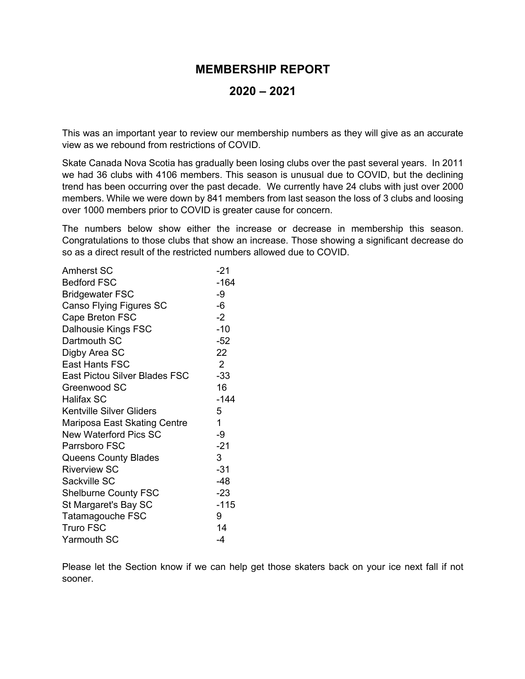## **MEMBERSHIP REPORT**

## **2020 – 2021**

This was an important year to review our membership numbers as they will give as an accurate view as we rebound from restrictions of COVID.

Skate Canada Nova Scotia has gradually been losing clubs over the past several years. In 2011 we had 36 clubs with 4106 members. This season is unusual due to COVID, but the declining trend has been occurring over the past decade. We currently have 24 clubs with just over 2000 members. While we were down by 841 members from last season the loss of 3 clubs and loosing over 1000 members prior to COVID is greater cause for concern.

The numbers below show either the increase or decrease in membership this season. Congratulations to those clubs that show an increase. Those showing a significant decrease do so as a direct result of the restricted numbers allowed due to COVID.

| <b>Amherst SC</b>                    | $-21$        |
|--------------------------------------|--------------|
| <b>Bedford FSC</b>                   | $-164$       |
| <b>Bridgewater FSC</b>               | -9           |
| Canso Flying Figures SC              | -6           |
| Cape Breton FSC                      | $-2$         |
| Dalhousie Kings FSC                  | $-10$        |
| Dartmouth SC                         | $-52$        |
| Digby Area SC                        | 22           |
| East Hants FSC                       | 2            |
| <b>East Pictou Silver Blades FSC</b> | $-33$        |
| Greenwood SC                         | 16           |
| <b>Halifax SC</b>                    | $-144$       |
| <b>Kentville Silver Gliders</b>      | 5            |
| Mariposa East Skating Centre         | $\mathbf{1}$ |
| <b>New Waterford Pics SC</b>         | -9           |
| Parrsboro FSC                        | $-21$        |
| <b>Queens County Blades</b>          | 3            |
| <b>Riverview SC</b>                  | $-31$        |
| Sackville SC                         | $-48$        |
| <b>Shelburne County FSC</b>          | $-23$        |
| St Margaret's Bay SC                 | $-115$       |
| Tatamagouche FSC                     | 9            |
| <b>Truro FSC</b>                     | 14           |
| <b>Yarmouth SC</b>                   | -4           |

Please let the Section know if we can help get those skaters back on your ice next fall if not sooner.